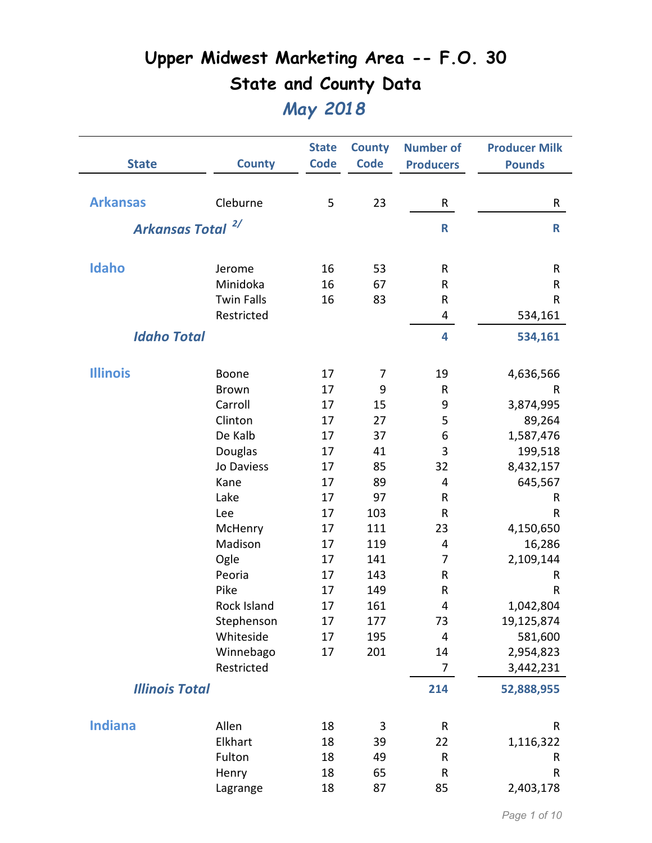| <b>State</b>          | <b>County</b>     | <b>State</b><br><b>Code</b> | <b>County</b><br><b>Code</b> | <b>Number of</b><br><b>Producers</b> | <b>Producer Milk</b><br><b>Pounds</b> |
|-----------------------|-------------------|-----------------------------|------------------------------|--------------------------------------|---------------------------------------|
|                       |                   |                             |                              |                                      |                                       |
| <b>Arkansas</b>       | Cleburne          | 5                           | 23                           | R                                    | R                                     |
| <b>Arkansas Total</b> | 2/                |                             |                              | $\mathsf{R}$                         | $\mathsf{R}$                          |
| <b>Idaho</b>          | Jerome            | 16                          | 53                           | R                                    | R                                     |
|                       | Minidoka          | 16                          | 67                           | R                                    | $\mathsf R$                           |
|                       | <b>Twin Falls</b> | 16                          | 83                           | R                                    | R                                     |
|                       | Restricted        |                             |                              | 4                                    | 534,161                               |
| <b>Idaho Total</b>    |                   |                             |                              | 4                                    | 534,161                               |
| <b>Illinois</b>       | Boone             | 17                          | 7                            | 19                                   | 4,636,566                             |
|                       | <b>Brown</b>      | 17                          | 9                            | R                                    | R                                     |
|                       | Carroll           | 17                          | 15                           | 9                                    | 3,874,995                             |
|                       | Clinton           | 17                          | 27                           | 5                                    | 89,264                                |
|                       | De Kalb           | 17                          | 37                           | 6                                    | 1,587,476                             |
|                       | Douglas           | 17                          | 41                           | 3                                    | 199,518                               |
|                       | Jo Daviess        | 17                          | 85                           | 32                                   | 8,432,157                             |
|                       | Kane              | 17                          | 89                           | 4                                    | 645,567                               |
|                       | Lake              | 17                          | 97                           | R                                    | R                                     |
|                       | Lee               | 17                          | 103                          | R                                    | R                                     |
|                       | McHenry           | 17                          | 111                          | 23                                   | 4,150,650                             |
|                       | Madison           | 17                          | 119                          | 4                                    | 16,286                                |
|                       | Ogle              | 17                          | 141                          | 7                                    | 2,109,144                             |
|                       | Peoria            | 17                          | 143                          | ${\sf R}$                            | R                                     |
|                       | Pike              | 17                          | 149                          | R                                    | R                                     |
|                       | Rock Island       | 17                          | 161                          | 4                                    | 1,042,804                             |
|                       | Stephenson        | 17                          | 177                          | 73                                   | 19,125,874                            |
|                       | Whiteside         | 17                          | 195                          | 4                                    | 581,600                               |
|                       | Winnebago         | 17                          | 201                          | 14                                   | 2,954,823                             |
|                       | Restricted        |                             |                              | $\overline{7}$                       | 3,442,231                             |
| <b>Illinois Total</b> |                   |                             |                              | 214                                  | 52,888,955                            |
| <b>Indiana</b>        | Allen             | 18                          | 3                            | ${\sf R}$                            | R                                     |
|                       | Elkhart           | 18                          | 39                           | 22                                   | 1,116,322                             |
|                       | Fulton            | 18                          | 49                           | R                                    | R                                     |
|                       | Henry             | 18                          | 65                           | R                                    | $\sf R$                               |
|                       | Lagrange          | 18                          | 87                           | 85                                   | 2,403,178                             |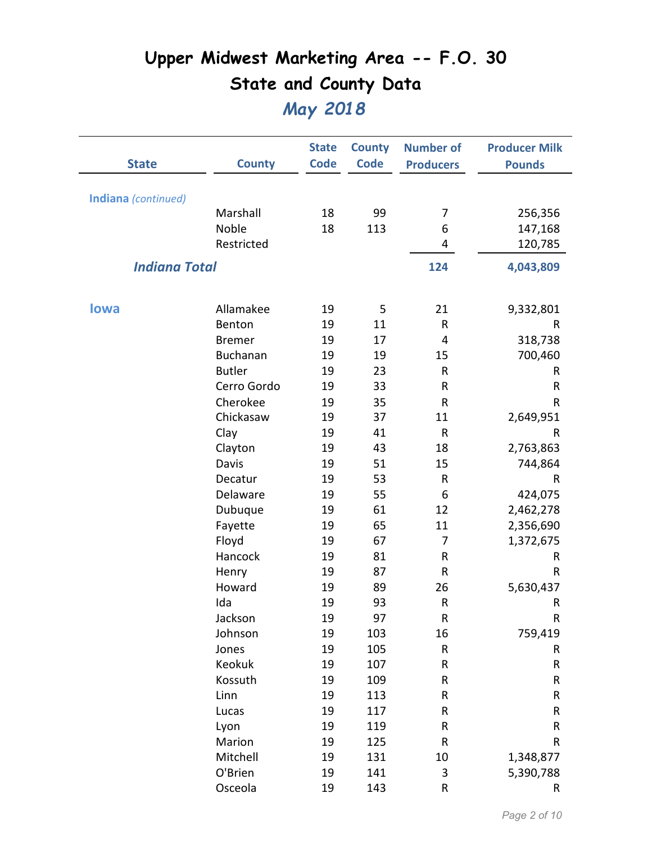| <b>State</b>         | <b>County</b>   | <b>State</b><br><b>Code</b> | <b>County</b><br><b>Code</b> | <b>Number of</b><br><b>Producers</b> | <b>Producer Milk</b><br><b>Pounds</b> |
|----------------------|-----------------|-----------------------------|------------------------------|--------------------------------------|---------------------------------------|
| Indiana (continued)  |                 |                             |                              |                                      |                                       |
|                      | Marshall        | 18                          | 99                           | 7                                    | 256,356                               |
|                      | Noble           | 18                          | 113                          | 6                                    | 147,168                               |
|                      | Restricted      |                             |                              | 4                                    | 120,785                               |
| <b>Indiana Total</b> |                 |                             |                              | 124                                  | 4,043,809                             |
| lowa                 | Allamakee       | 19                          | 5                            | 21                                   | 9,332,801                             |
|                      | Benton          | 19                          | 11                           | $\sf R$                              | R                                     |
|                      | <b>Bremer</b>   | 19                          | 17                           | 4                                    | 318,738                               |
|                      | <b>Buchanan</b> | 19                          | 19                           | 15                                   | 700,460                               |
|                      | <b>Butler</b>   | 19                          | 23                           | R                                    | R                                     |
|                      | Cerro Gordo     | 19                          | 33                           | R                                    | ${\sf R}$                             |
|                      | Cherokee        | 19                          | 35                           | $\mathsf R$                          | $\sf R$                               |
|                      | Chickasaw       | 19                          | 37                           | 11                                   | 2,649,951                             |
|                      | Clay            | 19                          | 41                           | $\mathsf{R}$                         | R                                     |
|                      | Clayton         | 19                          | 43                           | 18                                   | 2,763,863                             |
|                      | Davis           | 19                          | 51                           | 15                                   | 744,864                               |
|                      | Decatur         | 19                          | 53                           | $\sf R$                              | R                                     |
|                      | Delaware        | 19                          | 55                           | 6                                    | 424,075                               |
|                      | Dubuque         | 19                          | 61                           | 12                                   | 2,462,278                             |
|                      | Fayette         | 19                          | 65                           | 11                                   | 2,356,690                             |
|                      | Floyd           | 19                          | 67                           | 7                                    | 1,372,675                             |
|                      | Hancock         | 19                          | 81                           | R                                    | R                                     |
|                      | Henry           | 19                          | 87                           | R                                    | R                                     |
|                      | Howard          | 19                          | 89                           | 26                                   | 5,630,437                             |
|                      | Ida             | 19                          | 93                           | $\mathsf{R}$                         | R                                     |
|                      | Jackson         | 19                          | 97                           | $\sf R$                              | ${\sf R}$                             |
|                      | Johnson         | 19                          | 103                          | 16                                   | 759,419                               |
|                      | Jones           | 19                          | 105                          | R                                    | R                                     |
|                      | Keokuk          | 19                          | 107                          | R                                    | ${\sf R}$                             |
|                      | Kossuth         | 19                          | 109                          | ${\sf R}$                            | R                                     |
|                      | Linn            | 19                          | 113                          | ${\sf R}$                            | R                                     |
|                      | Lucas           | 19                          | 117                          | ${\sf R}$                            | R                                     |
|                      | Lyon            | 19                          | 119                          | ${\sf R}$                            | R                                     |
|                      | Marion          | 19                          | 125                          | ${\sf R}$                            | ${\sf R}$                             |
|                      | Mitchell        | 19                          | 131                          | 10                                   | 1,348,877                             |
|                      | O'Brien         | 19                          | 141                          | 3                                    | 5,390,788                             |
|                      | Osceola         | 19                          | 143                          | ${\sf R}$                            | R                                     |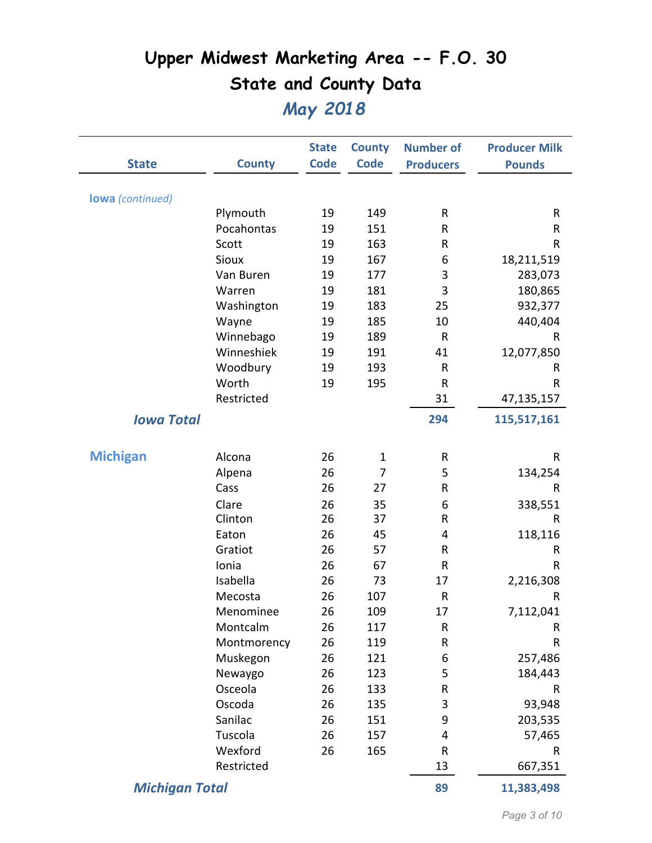|                         |               | <b>State</b> | <b>County</b> | <b>Number of</b> | <b>Producer Milk</b> |
|-------------------------|---------------|--------------|---------------|------------------|----------------------|
| <b>State</b>            | <b>County</b> | <b>Code</b>  | <b>Code</b>   | <b>Producers</b> | <b>Pounds</b>        |
|                         |               |              |               |                  |                      |
| <b>lowa</b> (continued) | Plymouth      | 19           | 149           | R                | R                    |
|                         | Pocahontas    | 19           | 151           | R                | ${\sf R}$            |
|                         | Scott         | 19           | 163           | R                | ${\sf R}$            |
|                         | Sioux         | 19           | 167           | 6                | 18,211,519           |
|                         | Van Buren     | 19           | 177           | 3                | 283,073              |
|                         | Warren        | 19           | 181           | 3                | 180,865              |
|                         | Washington    | 19           | 183           | 25               | 932,377              |
|                         | Wayne         | 19           | 185           | 10               | 440,404              |
|                         | Winnebago     | 19           | 189           | ${\sf R}$        | R                    |
|                         | Winneshiek    | 19           | 191           | 41               | 12,077,850           |
|                         | Woodbury      | 19           | 193           | R                | R                    |
|                         | Worth         | 19           | 195           | R                | R                    |
|                         | Restricted    |              |               | 31               | 47,135,157           |
| <b>Iowa Total</b>       |               |              |               | 294              | 115,517,161          |
|                         |               |              |               |                  |                      |
| <b>Michigan</b>         | Alcona        | 26           | $\mathbf{1}$  | R                | R                    |
|                         | Alpena        | 26           | 7             | 5                | 134,254              |
|                         | Cass          | 26           | 27            | R                | R                    |
|                         | Clare         | 26           | 35            | 6                | 338,551              |
|                         | Clinton       | 26           | 37            | R                | R                    |
|                         | Eaton         | 26           | 45            | 4                | 118,116              |
|                         | Gratiot       | 26           | 57            | R                | R                    |
|                         | Ionia         | 26           | 67            | R                | R                    |
|                         | Isabella      | 26           | 73            | 17               | 2,216,308            |
|                         | Mecosta       | 26           | 107           | ${\sf R}$        | R                    |
|                         | Menominee     | 26           | 109           | 17               | 7,112,041            |
|                         | Montcalm      | 26           | 117           | R                | R                    |
|                         | Montmorency   | 26           | 119           | R                | $\sf R$              |
|                         | Muskegon      | 26           | 121           | 6                | 257,486              |
|                         | Newaygo       | 26           | 123           | 5                | 184,443              |
|                         | Osceola       | 26           | 133           | R                | R                    |
|                         | Oscoda        | 26           | 135           | 3                | 93,948               |
|                         | Sanilac       | 26           | 151           | 9                | 203,535              |
|                         | Tuscola       | 26           | 157           | 4                | 57,465               |
|                         | Wexford       | 26           | 165           | R                | R                    |
|                         | Restricted    |              |               | 13               | 667,351              |
| <b>Michigan Total</b>   |               |              |               | 89               | 11,383,498           |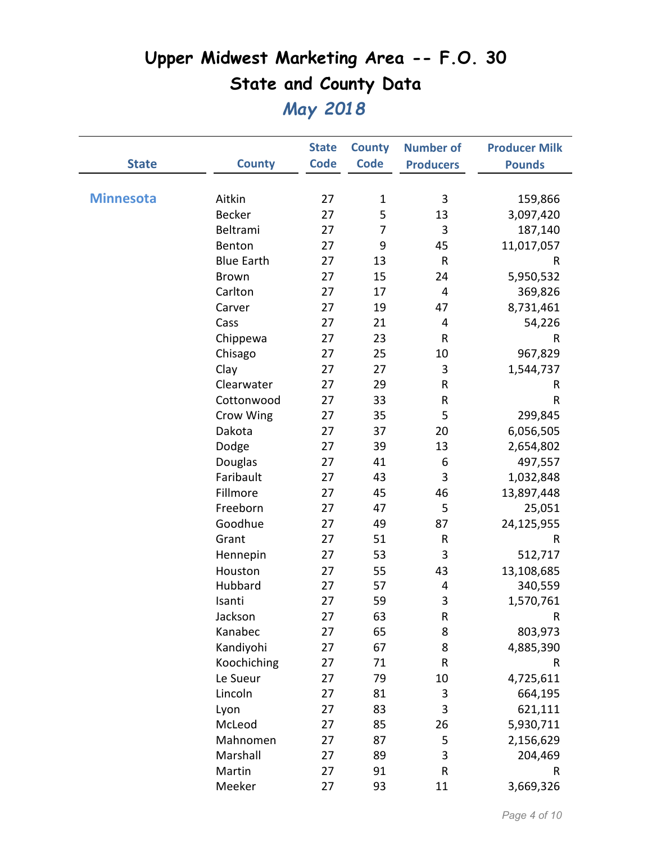|                  |                   | <b>State</b> | <b>County</b> | <b>Number of</b> | <b>Producer Milk</b> |
|------------------|-------------------|--------------|---------------|------------------|----------------------|
| <b>State</b>     | <b>County</b>     | <b>Code</b>  | <b>Code</b>   | <b>Producers</b> | <b>Pounds</b>        |
|                  |                   |              |               |                  |                      |
| <b>Minnesota</b> | Aitkin            | 27           | $\mathbf 1$   | 3                | 159,866              |
|                  | <b>Becker</b>     | 27           | 5             | 13               | 3,097,420            |
|                  | Beltrami          | 27           | 7             | 3                | 187,140              |
|                  | Benton            | 27           | 9             | 45               | 11,017,057           |
|                  | <b>Blue Earth</b> | 27           | 13            | ${\sf R}$        | R                    |
|                  | <b>Brown</b>      | 27           | 15            | 24               | 5,950,532            |
|                  | Carlton           | 27           | 17            | 4                | 369,826              |
|                  | Carver            | 27           | 19            | 47               | 8,731,461            |
|                  | Cass              | 27           | 21            | 4                | 54,226               |
|                  | Chippewa          | 27           | 23            | R                | R                    |
|                  | Chisago           | 27           | 25            | 10               | 967,829              |
|                  | Clay              | 27           | 27            | $\mathbf{3}$     | 1,544,737            |
|                  | Clearwater        | 27           | 29            | R                | R                    |
|                  | Cottonwood        | 27           | 33            | R                | $\mathsf R$          |
|                  | Crow Wing         | 27           | 35            | 5                | 299,845              |
|                  | Dakota            | 27           | 37            | 20               | 6,056,505            |
|                  | Dodge             | 27           | 39            | 13               | 2,654,802            |
|                  | Douglas           | 27           | 41            | 6                | 497,557              |
|                  | Faribault         | 27           | 43            | 3                | 1,032,848            |
|                  | Fillmore          | 27           | 45            | 46               | 13,897,448           |
|                  | Freeborn          | 27           | 47            | 5                | 25,051               |
|                  | Goodhue           | 27           | 49            | 87               | 24,125,955           |
|                  | Grant             | 27           | 51            | ${\sf R}$        | $\sf R$              |
|                  | Hennepin          | 27           | 53            | 3                | 512,717              |
|                  | Houston           | 27           | 55            | 43               | 13,108,685           |
|                  | Hubbard           | 27           | 57            | 4                | 340,559              |
|                  | Isanti            | 27           | 59            | 3                | 1,570,761            |
|                  | Jackson           | 27           | 63            | ${\sf R}$        | R                    |
|                  | Kanabec           | 27           | 65            | 8                | 803,973              |
|                  | Kandiyohi         | 27           | 67            | 8                | 4,885,390            |
|                  | Koochiching       | 27           | 71            | R                | R                    |
|                  | Le Sueur          | 27           | 79            | 10               | 4,725,611            |
|                  | Lincoln           | 27           | 81            | 3                | 664,195              |
|                  | Lyon              | 27           | 83            | 3                | 621,111              |
|                  | McLeod            | 27           | 85            | 26               | 5,930,711            |
|                  | Mahnomen          | 27           | 87            | 5                | 2,156,629            |
|                  | Marshall          | 27           | 89            | 3                | 204,469              |
|                  | Martin            | 27           | 91            | ${\sf R}$        | R                    |
|                  | Meeker            | 27           | 93            | 11               | 3,669,326            |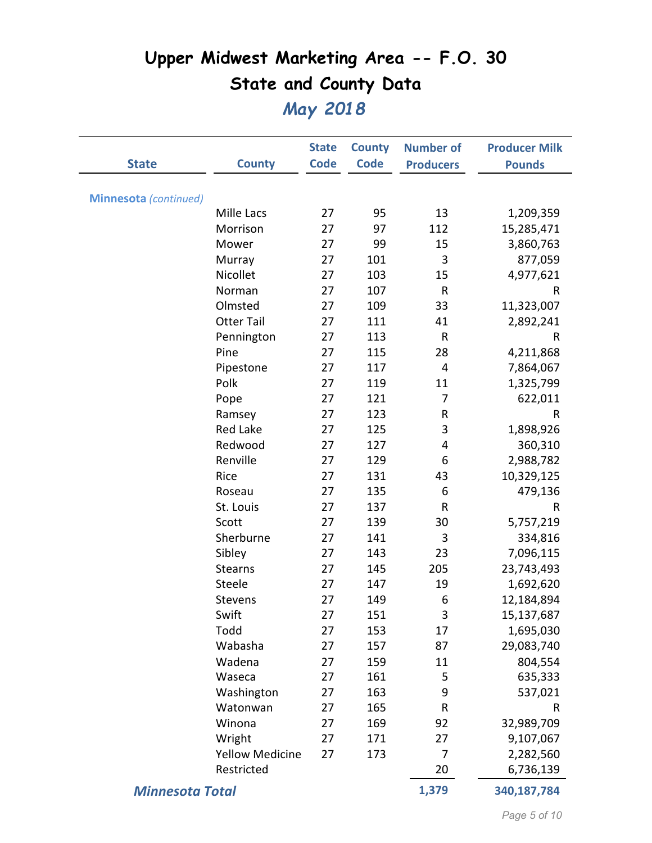|                              |                        | <b>State</b> | <b>County</b> | <b>Number of</b> | <b>Producer Milk</b> |
|------------------------------|------------------------|--------------|---------------|------------------|----------------------|
| <b>State</b>                 | <b>County</b>          | <b>Code</b>  | <b>Code</b>   | <b>Producers</b> | <b>Pounds</b>        |
|                              |                        |              |               |                  |                      |
| <b>Minnesota</b> (continued) | Mille Lacs             | 27           | 95            | 13               | 1,209,359            |
|                              | Morrison               | 27           | 97            | 112              | 15,285,471           |
|                              | Mower                  | 27           | 99            | 15               | 3,860,763            |
|                              | Murray                 | 27           | 101           | 3                | 877,059              |
|                              | Nicollet               | 27           | 103           | 15               | 4,977,621            |
|                              | Norman                 | 27           | 107           | $\mathsf{R}$     | R                    |
|                              | Olmsted                | 27           | 109           | 33               | 11,323,007           |
|                              | <b>Otter Tail</b>      | 27           | 111           | 41               | 2,892,241            |
|                              | Pennington             | 27           | 113           | $\sf R$          | R                    |
|                              | Pine                   | 27           | 115           | 28               | 4,211,868            |
|                              | Pipestone              | 27           | 117           | 4                | 7,864,067            |
|                              | Polk                   | 27           | 119           | 11               | 1,325,799            |
|                              | Pope                   | 27           | 121           | 7                | 622,011              |
|                              | Ramsey                 | 27           | 123           | R                | R                    |
|                              | <b>Red Lake</b>        | 27           | 125           | 3                | 1,898,926            |
|                              | Redwood                | 27           | 127           | 4                | 360,310              |
|                              | Renville               | 27           | 129           | 6                | 2,988,782            |
|                              | Rice                   | 27           | 131           | 43               | 10,329,125           |
|                              | Roseau                 | 27           | 135           | 6                | 479,136              |
|                              | St. Louis              | 27           | 137           | R                | R                    |
|                              | Scott                  | 27           | 139           | 30               | 5,757,219            |
|                              | Sherburne              | 27           | 141           | 3                | 334,816              |
|                              | Sibley                 | 27           | 143           | 23               | 7,096,115            |
|                              | <b>Stearns</b>         | 27           | 145           | 205              | 23,743,493           |
|                              | Steele                 | 27           | 147           | 19               | 1,692,620            |
|                              | Stevens                | 27           | 149           | 6                | 12,184,894           |
|                              | Swift                  | 27           | 151           | 3                | 15,137,687           |
|                              | Todd                   | 27           | 153           | 17               | 1,695,030            |
|                              | Wabasha                | 27           | 157           | 87               | 29,083,740           |
|                              | Wadena                 | 27           | 159           | 11               | 804,554              |
|                              | Waseca                 | 27           | 161           | 5                | 635,333              |
|                              | Washington             | 27           | 163           | 9                | 537,021              |
|                              | Watonwan               | 27           | 165           | $\mathsf R$      | R                    |
|                              | Winona                 | 27           | 169           | 92               | 32,989,709           |
|                              | Wright                 | 27           | 171           | 27               | 9,107,067            |
|                              | <b>Yellow Medicine</b> | 27           | 173           | 7                | 2,282,560            |
|                              | Restricted             |              |               | 20               | 6,736,139            |
| <b>Minnesota Total</b>       |                        |              |               | 1,379            | 340,187,784          |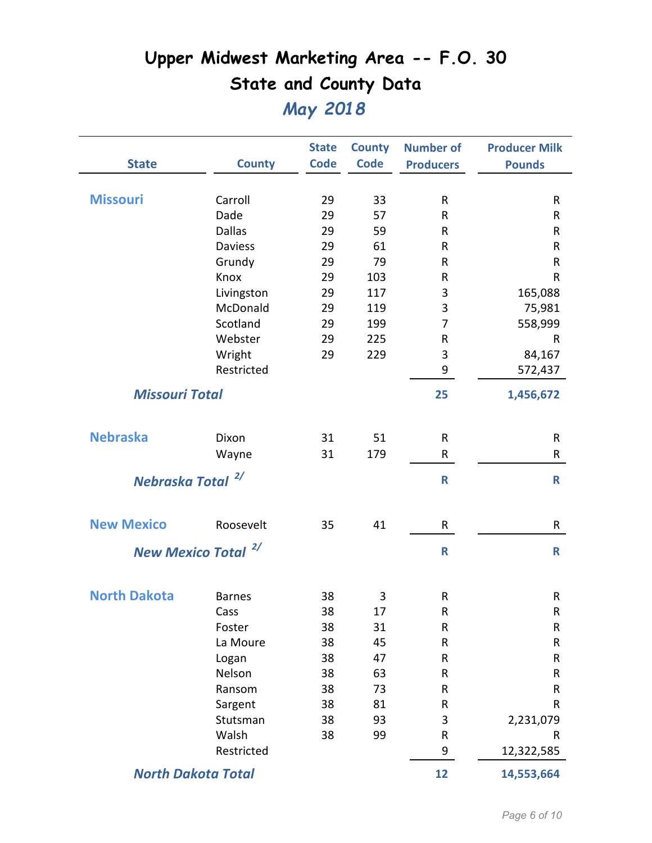|                              |                                | <b>State</b> | <b>County</b> | <b>Number of</b> | <b>Producer Milk</b> |
|------------------------------|--------------------------------|--------------|---------------|------------------|----------------------|
| <b>State</b>                 | <b>County</b>                  | <b>Code</b>  | <b>Code</b>   | <b>Producers</b> | <b>Pounds</b>        |
| <b>Missouri</b>              | Carroll                        | 29           | 33            | R                | R                    |
|                              | Dade                           | 29           | 57            | R                | R                    |
|                              | <b>Dallas</b>                  | 29           | 59            | R                | R                    |
|                              | <b>Daviess</b>                 | 29           | 61            | R                | R                    |
|                              | Grundy                         | 29           | 79            | R                | R                    |
|                              | Knox                           | 29           | 103           | R                | R                    |
|                              | Livingston                     | 29           | 117           | 3                | 165,088              |
|                              | McDonald                       | 29           | 119           | 3                | 75,981               |
|                              | Scotland                       | 29           | 199           | 7                | 558,999              |
|                              | Webster                        | 29           | 225           | R                | R                    |
|                              | Wright                         | 29           | 229           | 3                | 84,167               |
|                              | Restricted                     |              |               | 9                | 572,437              |
| <b>Missouri Total</b>        |                                |              |               | 25               | 1,456,672            |
| <b>Nebraska</b>              | Dixon                          | 31           | 51            | R                | R                    |
|                              | Wayne                          | 31           | 179           | R                | R                    |
| Nebraska Total <sup>2/</sup> |                                |              |               | $\mathbf R$      | $\mathbf R$          |
| <b>New Mexico</b>            | Roosevelt                      | 35           | 41            | R                | R                    |
|                              | New Mexico Total <sup>2/</sup> |              |               | $\mathbf R$      | $\mathbf R$          |
| <b>North Dakota</b>          | <b>Barnes</b>                  | 38           | 3             | R                | ${\sf R}$            |
|                              | Cass                           | 38           | 17            | R                | R                    |
|                              | Foster                         | 38           | 31            | ${\sf R}$        | ${\sf R}$            |
|                              | La Moure                       | 38           | 45            | R                | R                    |
|                              | Logan                          | 38           | 47            | ${\sf R}$        | R                    |
|                              | Nelson                         | 38           | 63            | ${\sf R}$        | R                    |
|                              | Ransom                         | 38           | 73            | R                | R                    |
|                              | Sargent                        | 38           | 81            | R                | R                    |
|                              | Stutsman                       | 38           | 93            | 3                | 2,231,079            |
|                              | Walsh                          | 38           | 99            | ${\sf R}$        | R                    |
|                              | Restricted                     |              |               | 9                | 12,322,585           |
|                              | <b>North Dakota Total</b>      |              |               | 12               | 14,553,664           |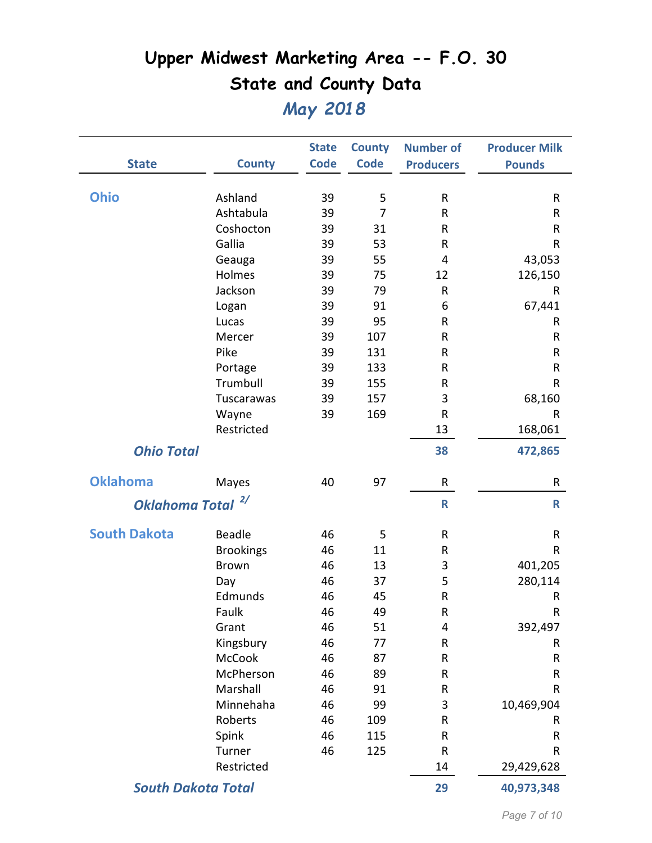|                           |                  | <b>State</b> | <b>County</b>  | <b>Number of</b> | <b>Producer Milk</b> |
|---------------------------|------------------|--------------|----------------|------------------|----------------------|
| <b>State</b>              | <b>County</b>    | <b>Code</b>  | <b>Code</b>    | <b>Producers</b> | <b>Pounds</b>        |
|                           |                  |              |                |                  |                      |
| <b>Ohio</b>               | Ashland          | 39           | 5              | $\mathsf{R}$     | R                    |
|                           | Ashtabula        | 39           | $\overline{7}$ | $\sf R$          | R                    |
|                           | Coshocton        | 39           | 31             | R                | R                    |
|                           | Gallia           | 39           | 53             | ${\sf R}$        | ${\sf R}$            |
|                           | Geauga           | 39           | 55             | 4                | 43,053               |
|                           | Holmes           | 39           | 75             | 12               | 126,150              |
|                           | Jackson          | 39           | 79             | R                | R                    |
|                           | Logan            | 39           | 91             | 6                | 67,441               |
|                           | Lucas            | 39           | 95             | ${\sf R}$        | R                    |
|                           | Mercer           | 39           | 107            | $\sf R$          | R                    |
|                           | Pike             | 39           | 131            | $\sf R$          | R                    |
|                           | Portage          | 39           | 133            | ${\sf R}$        | R                    |
|                           | Trumbull         | 39           | 155            | R                | $\mathsf R$          |
|                           | Tuscarawas       | 39           | 157            | 3                | 68,160               |
|                           | Wayne            | 39           | 169            | R                | R                    |
|                           | Restricted       |              |                | 13               | 168,061              |
| <b>Ohio Total</b>         |                  |              |                | 38               | 472,865              |
| <b>Oklahoma</b>           | Mayes            | 40           | 97             | $\mathsf{R}$     | R                    |
| <b>Oklahoma Total</b>     | 2/               |              |                | $\mathsf{R}$     | $\mathsf{R}$         |
| <b>South Dakota</b>       | Beadle           | 46           | 5              | $\mathsf R$      | ${\sf R}$            |
|                           | <b>Brookings</b> | 46           | 11             | R                | ${\sf R}$            |
|                           | <b>Brown</b>     | 46           | 13             | 3                | 401,205              |
|                           | Day              | 46           | 37             | 5                | 280,114              |
|                           | Edmunds          | 46           | 45             | ${\sf R}$        | R                    |
|                           | Faulk            | 46           | 49             | $\mathsf R$      | R                    |
|                           | Grant            | 46           | 51             | 4                | 392,497              |
|                           | Kingsbury        | 46           | 77             | ${\sf R}$        | R                    |
|                           | McCook           | 46           | 87             | ${\sf R}$        | R                    |
|                           | McPherson        | 46           | 89             | ${\sf R}$        | R                    |
|                           | Marshall         | 46           | 91             | ${\sf R}$        | R                    |
|                           | Minnehaha        | 46           | 99             | 3                | 10,469,904           |
|                           | Roberts          | 46           | 109            | ${\sf R}$        | R                    |
|                           | Spink            | 46           | 115            | ${\sf R}$        | R                    |
|                           | Turner           | 46           | 125            | R                | R                    |
|                           | Restricted       |              |                | 14               | 29,429,628           |
| <b>South Dakota Total</b> |                  |              |                | 29               | 40,973,348           |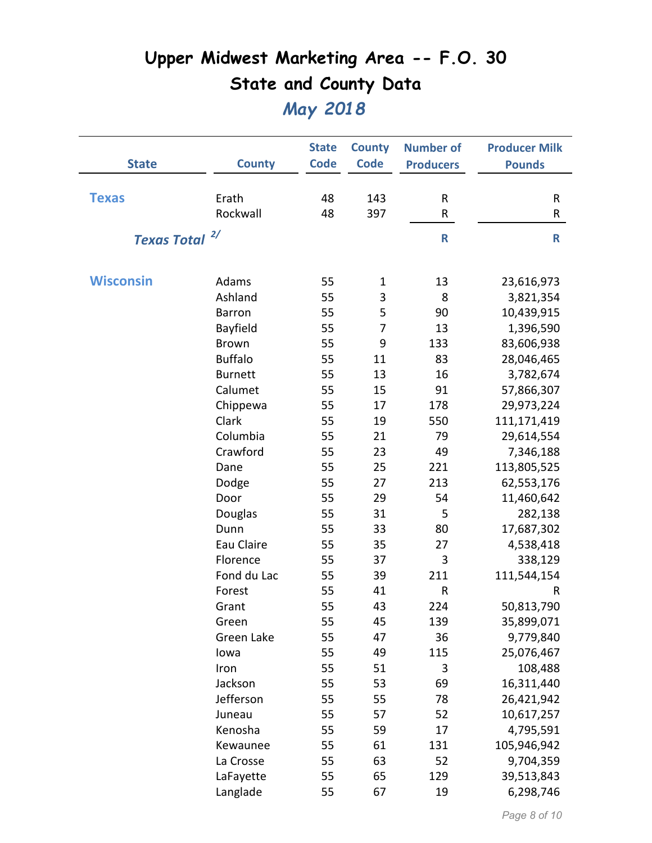| <b>State</b>       | <b>County</b>  | <b>State</b><br><b>Code</b> | <b>County</b><br><b>Code</b> | <b>Number of</b><br><b>Producers</b> | <b>Producer Milk</b><br><b>Pounds</b> |
|--------------------|----------------|-----------------------------|------------------------------|--------------------------------------|---------------------------------------|
|                    |                |                             |                              |                                      |                                       |
| <b>Texas</b>       | Erath          | 48                          | 143                          | ${\sf R}$                            | R                                     |
|                    | Rockwall       | 48                          | 397                          | ${\sf R}$                            | R                                     |
| <b>Texas Total</b> | 2/             |                             |                              | $\mathsf{R}$                         | R                                     |
|                    |                |                             |                              |                                      |                                       |
| <b>Wisconsin</b>   | Adams          | 55                          | 1                            | 13                                   | 23,616,973                            |
|                    | Ashland        | 55                          | 3                            | 8                                    | 3,821,354                             |
|                    | Barron         | 55                          | 5                            | 90                                   | 10,439,915                            |
|                    | Bayfield       | 55                          | $\overline{7}$               | 13                                   | 1,396,590                             |
|                    | <b>Brown</b>   | 55                          | 9                            | 133                                  | 83,606,938                            |
|                    | <b>Buffalo</b> | 55                          | 11                           | 83                                   | 28,046,465                            |
|                    | <b>Burnett</b> | 55                          | 13                           | 16                                   | 3,782,674                             |
|                    | Calumet        | 55                          | 15                           | 91                                   | 57,866,307                            |
|                    | Chippewa       | 55                          | 17                           | 178                                  | 29,973,224                            |
|                    | Clark          | 55                          | 19                           | 550                                  | 111,171,419                           |
|                    | Columbia       | 55                          | 21                           | 79                                   | 29,614,554                            |
|                    | Crawford       | 55                          | 23                           | 49                                   | 7,346,188                             |
|                    | Dane           | 55                          | 25                           | 221                                  | 113,805,525                           |
|                    | Dodge          | 55                          | 27                           | 213                                  | 62,553,176                            |
|                    | Door           | 55                          | 29                           | 54                                   | 11,460,642                            |
|                    | Douglas        | 55                          | 31                           | 5                                    | 282,138                               |
|                    | Dunn           | 55                          | 33                           | 80                                   | 17,687,302                            |
|                    | Eau Claire     | 55                          | 35                           | 27                                   | 4,538,418                             |
|                    | Florence       | 55                          | 37                           | 3                                    | 338,129                               |
|                    | Fond du Lac    | 55                          | 39                           | 211                                  | 111,544,154                           |
|                    | Forest         | 55                          | 41                           | $\mathsf{R}$                         | R                                     |
|                    | Grant          | 55                          | 43                           | 224                                  | 50,813,790                            |
|                    | Green          | 55                          | 45                           | 139                                  | 35,899,071                            |
|                    | Green Lake     | 55                          | 47                           | 36                                   | 9,779,840                             |
|                    | lowa           | 55                          | 49                           | 115                                  | 25,076,467                            |
|                    | Iron           | 55                          | 51                           | 3                                    | 108,488                               |
|                    | Jackson        | 55                          | 53                           | 69                                   | 16,311,440                            |
|                    | Jefferson      | 55                          | 55                           | 78                                   | 26,421,942                            |
|                    | Juneau         | 55                          | 57                           | 52                                   | 10,617,257                            |
|                    | Kenosha        | 55                          | 59                           | 17                                   | 4,795,591                             |
|                    | Kewaunee       | 55                          | 61                           | 131                                  | 105,946,942                           |
|                    | La Crosse      | 55                          | 63                           | 52                                   | 9,704,359                             |
|                    | LaFayette      | 55                          | 65                           | 129                                  | 39,513,843                            |
|                    | Langlade       | 55                          | 67                           | 19                                   | 6,298,746                             |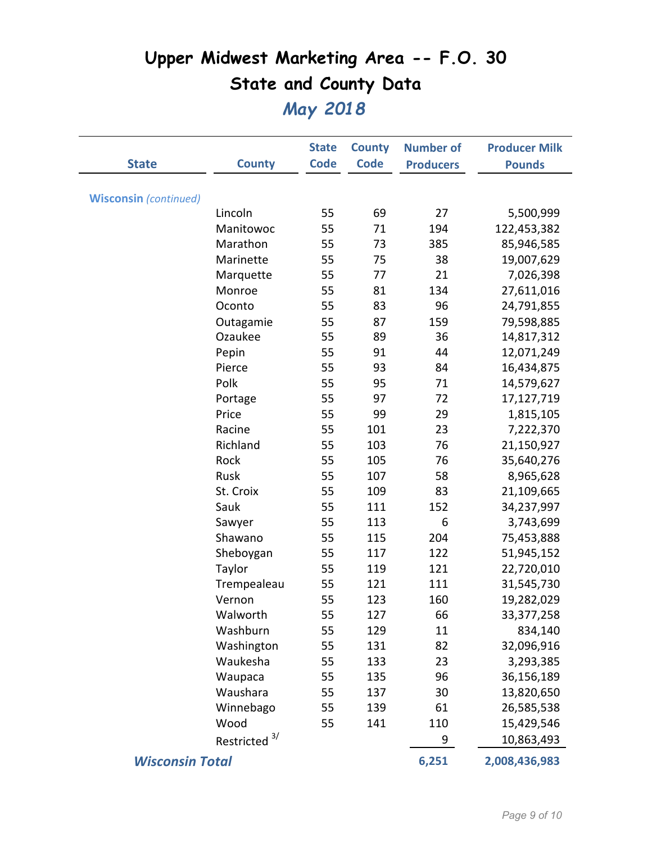|                              |                          | <b>State</b> | <b>County</b> | <b>Number of</b> | <b>Producer Milk</b> |
|------------------------------|--------------------------|--------------|---------------|------------------|----------------------|
| <b>State</b>                 | <b>County</b>            | <b>Code</b>  | <b>Code</b>   | <b>Producers</b> | <b>Pounds</b>        |
|                              |                          |              |               |                  |                      |
| <b>Wisconsin</b> (continued) |                          |              |               |                  |                      |
|                              | Lincoln                  | 55           | 69            | 27               | 5,500,999            |
|                              | Manitowoc                | 55           | 71            | 194              | 122,453,382          |
|                              | Marathon                 | 55           | 73            | 385              | 85,946,585           |
|                              | Marinette                | 55           | 75            | 38               | 19,007,629           |
|                              | Marquette                | 55           | 77            | 21               | 7,026,398            |
|                              | Monroe                   | 55           | 81            | 134              | 27,611,016           |
|                              | Oconto                   | 55           | 83            | 96               | 24,791,855           |
|                              | Outagamie                | 55           | 87            | 159              | 79,598,885           |
|                              | Ozaukee                  | 55           | 89            | 36               | 14,817,312           |
|                              | Pepin                    | 55           | 91            | 44               | 12,071,249           |
|                              | Pierce                   | 55           | 93            | 84               | 16,434,875           |
|                              | Polk                     | 55           | 95            | 71               | 14,579,627           |
|                              | Portage                  | 55           | 97            | 72               | 17,127,719           |
|                              | Price                    | 55           | 99            | 29               | 1,815,105            |
|                              | Racine                   | 55           | 101           | 23               | 7,222,370            |
|                              | Richland                 | 55           | 103           | 76               | 21,150,927           |
|                              | Rock                     | 55           | 105           | 76               | 35,640,276           |
|                              | Rusk                     | 55           | 107           | 58               | 8,965,628            |
|                              | St. Croix                | 55           | 109           | 83               | 21,109,665           |
|                              | Sauk                     | 55           | 111           | 152              | 34,237,997           |
|                              | Sawyer                   | 55           | 113           | 6                | 3,743,699            |
|                              | Shawano                  | 55           | 115           | 204              | 75,453,888           |
|                              | Sheboygan                | 55           | 117           | 122              | 51,945,152           |
|                              | Taylor                   | 55           | 119           | 121              | 22,720,010           |
|                              | Trempealeau              | 55           | 121           | 111              | 31,545,730           |
|                              | Vernon                   | 55           | 123           | 160              | 19,282,029           |
|                              | Walworth                 | 55           | 127           | 66               | 33, 377, 258         |
|                              | Washburn                 | 55           | 129           | 11               | 834,140              |
|                              | Washington               | 55           | 131           | 82               | 32,096,916           |
|                              | Waukesha                 | 55           | 133           | 23               | 3,293,385            |
|                              | Waupaca                  | 55           | 135           | 96               | 36,156,189           |
|                              | Waushara                 | 55           | 137           | 30               | 13,820,650           |
|                              | Winnebago                | 55           | 139           | 61               | 26,585,538           |
|                              | Wood                     | 55           | 141           | 110              | 15,429,546           |
|                              | Restricted <sup>3/</sup> |              |               | 9                | 10,863,493           |
| <b>Wisconsin Total</b>       |                          |              |               | 6,251            | 2,008,436,983        |